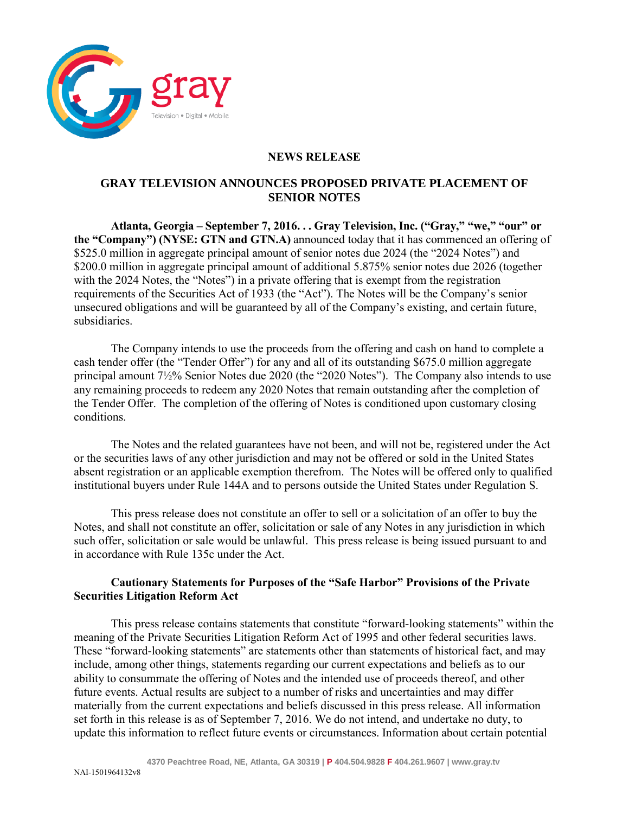

# **NEWS RELEASE**

# **GRAY TELEVISION ANNOUNCES PROPOSED PRIVATE PLACEMENT OF SENIOR NOTES**

**Atlanta, Georgia – September 7, 2016. . . Gray Television, Inc. ("Gray," "we," "our" or the "Company") (NYSE: GTN and GTN.A)** announced today that it has commenced an offering of \$525.0 million in aggregate principal amount of senior notes due 2024 (the "2024 Notes") and \$200.0 million in aggregate principal amount of additional 5.875% senior notes due 2026 (together with the 2024 Notes, the "Notes") in a private offering that is exempt from the registration requirements of the Securities Act of 1933 (the "Act"). The Notes will be the Company's senior unsecured obligations and will be guaranteed by all of the Company's existing, and certain future, subsidiaries.

The Company intends to use the proceeds from the offering and cash on hand to complete a cash tender offer (the "Tender Offer") for any and all of its outstanding \$675.0 million aggregate principal amount 7½% Senior Notes due 2020 (the "2020 Notes"). The Company also intends to use any remaining proceeds to redeem any 2020 Notes that remain outstanding after the completion of the Tender Offer. The completion of the offering of Notes is conditioned upon customary closing conditions.

The Notes and the related guarantees have not been, and will not be, registered under the Act or the securities laws of any other jurisdiction and may not be offered or sold in the United States absent registration or an applicable exemption therefrom. The Notes will be offered only to qualified institutional buyers under Rule 144A and to persons outside the United States under Regulation S.

This press release does not constitute an offer to sell or a solicitation of an offer to buy the Notes, and shall not constitute an offer, solicitation or sale of any Notes in any jurisdiction in which such offer, solicitation or sale would be unlawful. This press release is being issued pursuant to and in accordance with Rule 135c under the Act.

### **Cautionary Statements for Purposes of the "Safe Harbor" Provisions of the Private Securities Litigation Reform Act**

This press release contains statements that constitute "forward-looking statements" within the meaning of the Private Securities Litigation Reform Act of 1995 and other federal securities laws. These "forward-looking statements" are statements other than statements of historical fact, and may include, among other things, statements regarding our current expectations and beliefs as to our ability to consummate the offering of Notes and the intended use of proceeds thereof, and other future events. Actual results are subject to a number of risks and uncertainties and may differ materially from the current expectations and beliefs discussed in this press release. All information set forth in this release is as of September 7, 2016. We do not intend, and undertake no duty, to update this information to reflect future events or circumstances. Information about certain potential